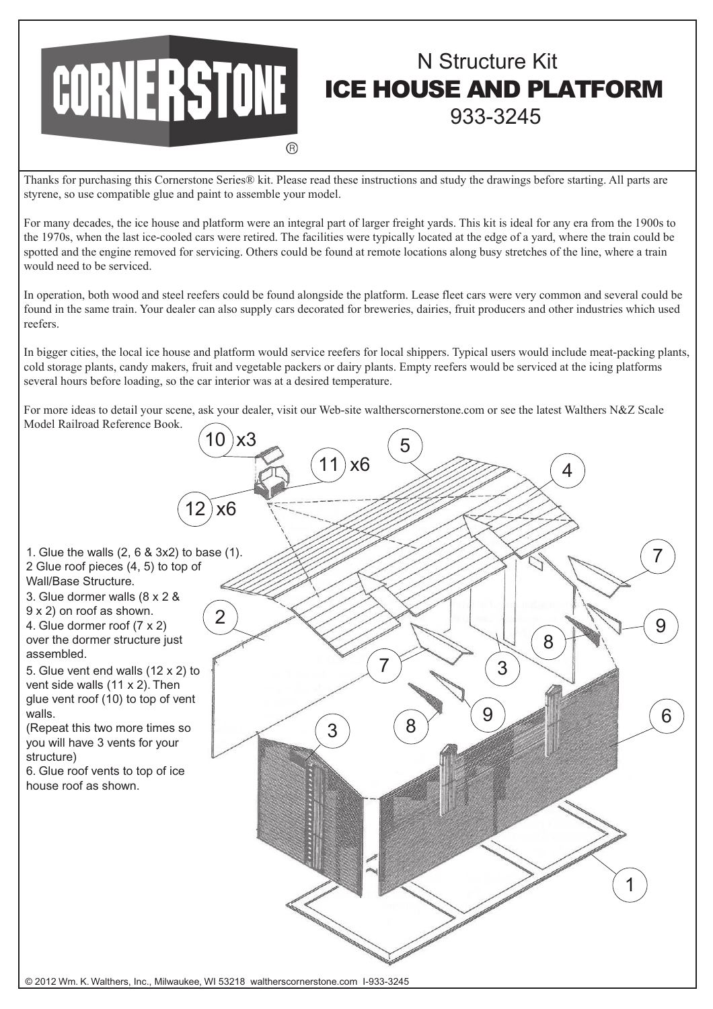

## N Structure Kit ICE HOUSE AND PLATFORM 933-3245

Thanks for purchasing this Cornerstone Series® kit. Please read these instructions and study the drawings before starting. All parts are styrene, so use compatible glue and paint to assemble your model.

For many decades, the ice house and platform were an integral part of larger freight yards. This kit is ideal for any era from the 1900s to the 1970s, when the last ice-cooled cars were retired. The facilities were typically located at the edge of a yard, where the train could be spotted and the engine removed for servicing. Others could be found at remote locations along busy stretches of the line, where a train would need to be serviced.

In operation, both wood and steel reefers could be found alongside the platform. Lease fleet cars were very common and several could be found in the same train. Your dealer can also supply cars decorated for breweries, dairies, fruit producers and other industries which used reefers.

In bigger cities, the local ice house and platform would service reefers for local shippers. Typical users would include meat-packing plants, cold storage plants, candy makers, fruit and vegetable packers or dairy plants. Empty reefers would be serviced at the icing platforms several hours before loading, so the car interior was at a desired temperature.

For more ideas to detail your scene, ask your dealer, visit our Web-site waltherscornerstone.com or see the latest Walthers N&Z Scale Model Railroad Reference Book.